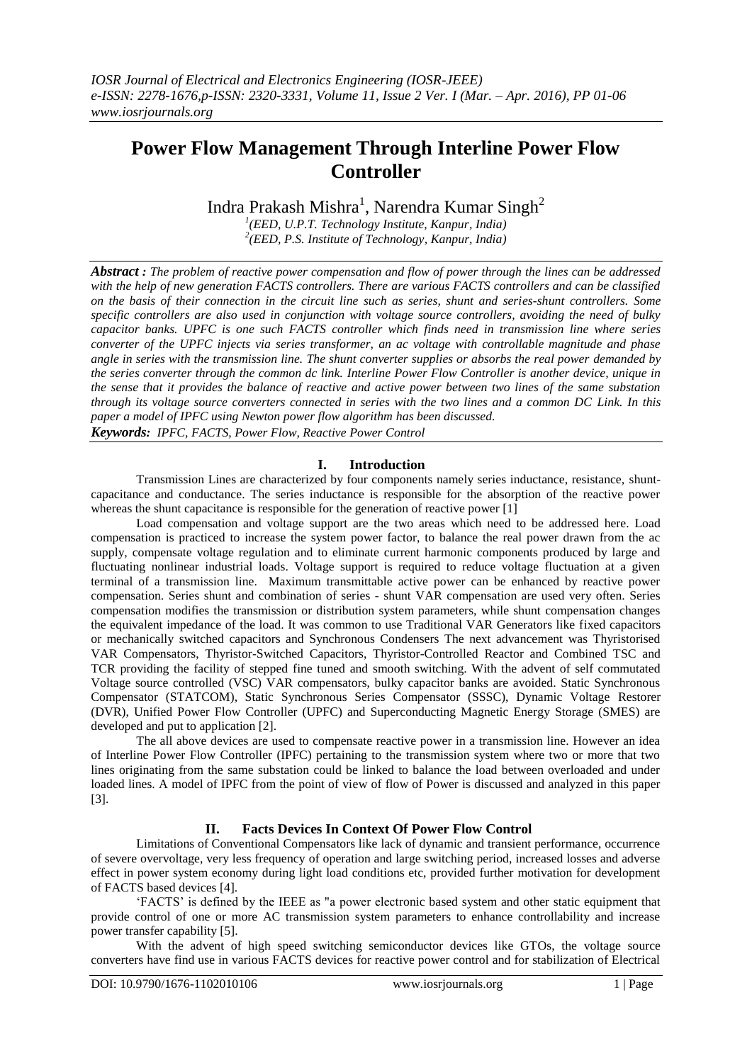# **Power Flow Management Through Interline Power Flow Controller**

Indra Prakash Mishra $^{\rm l}$ , Narendra Kumar Singh $^{\rm 2}$ 

*1 (EED, U.P.T. Technology Institute, Kanpur, India) 2 (EED, P.S. Institute of Technology, Kanpur, India)*

*Abstract : The problem of reactive power compensation and flow of power through the lines can be addressed with the help of new generation FACTS controllers. There are various FACTS controllers and can be classified on the basis of their connection in the circuit line such as series, shunt and series-shunt controllers. Some specific controllers are also used in conjunction with voltage source controllers, avoiding the need of bulky capacitor banks. UPFC is one such FACTS controller which finds need in transmission line where series converter of the UPFC injects via series transformer, an ac voltage with controllable magnitude and phase angle in series with the transmission line. The shunt converter supplies or absorbs the real power demanded by the series converter through the common dc link. Interline Power Flow Controller is another device, unique in the sense that it provides the balance of reactive and active power between two lines of the same substation through its voltage source converters connected in series with the two lines and a common DC Link. In this paper a model of IPFC using Newton power flow algorithm has been discussed.*

*Keywords: IPFC, FACTS, Power Flow, Reactive Power Control*

## **I. Introduction**

Transmission Lines are characterized by four components namely series inductance, resistance, shuntcapacitance and conductance. The series inductance is responsible for the absorption of the reactive power whereas the shunt capacitance is responsible for the generation of reactive power [1]

Load compensation and voltage support are the two areas which need to be addressed here. Load compensation is practiced to increase the system power factor, to balance the real power drawn from the ac supply, compensate voltage regulation and to eliminate current harmonic components produced by large and fluctuating nonlinear industrial loads. Voltage support is required to reduce voltage fluctuation at a given terminal of a transmission line. Maximum transmittable active power can be enhanced by reactive power compensation. Series shunt and combination of series - shunt VAR compensation are used very often. Series compensation modifies the transmission or distribution system parameters, while shunt compensation changes the equivalent impedance of the load. It was common to use Traditional VAR Generators like fixed capacitors or mechanically switched capacitors and Synchronous Condensers The next advancement was Thyristorised VAR Compensators, Thyristor-Switched Capacitors, Thyristor-Controlled Reactor and Combined TSC and TCR providing the facility of stepped fine tuned and smooth switching. With the advent of self commutated Voltage source controlled (VSC) VAR compensators, bulky capacitor banks are avoided. Static Synchronous Compensator (STATCOM), Static Synchronous Series Compensator (SSSC), Dynamic Voltage Restorer (DVR), Unified Power Flow Controller (UPFC) and Superconducting Magnetic Energy Storage (SMES) are developed and put to application [2].

The all above devices are used to compensate reactive power in a transmission line. However an idea of Interline Power Flow Controller (IPFC) pertaining to the transmission system where two or more that two lines originating from the same substation could be linked to balance the load between overloaded and under loaded lines. A model of IPFC from the point of view of flow of Power is discussed and analyzed in this paper [3].

## **II. Facts Devices In Context Of Power Flow Control**

Limitations of Conventional Compensators like lack of dynamic and transient performance, occurrence of severe overvoltage, very less frequency of operation and large switching period, increased losses and adverse effect in power system economy during light load conditions etc, provided further motivation for development of FACTS based devices [4].

'FACTS' is defined by the IEEE as "a power electronic based system and other static equipment that provide control of one or more AC transmission system parameters to enhance controllability and increase power transfer capability [5].

With the advent of high speed switching semiconductor devices like GTOs, the voltage source converters have find use in various FACTS devices for reactive power control and for stabilization of Electrical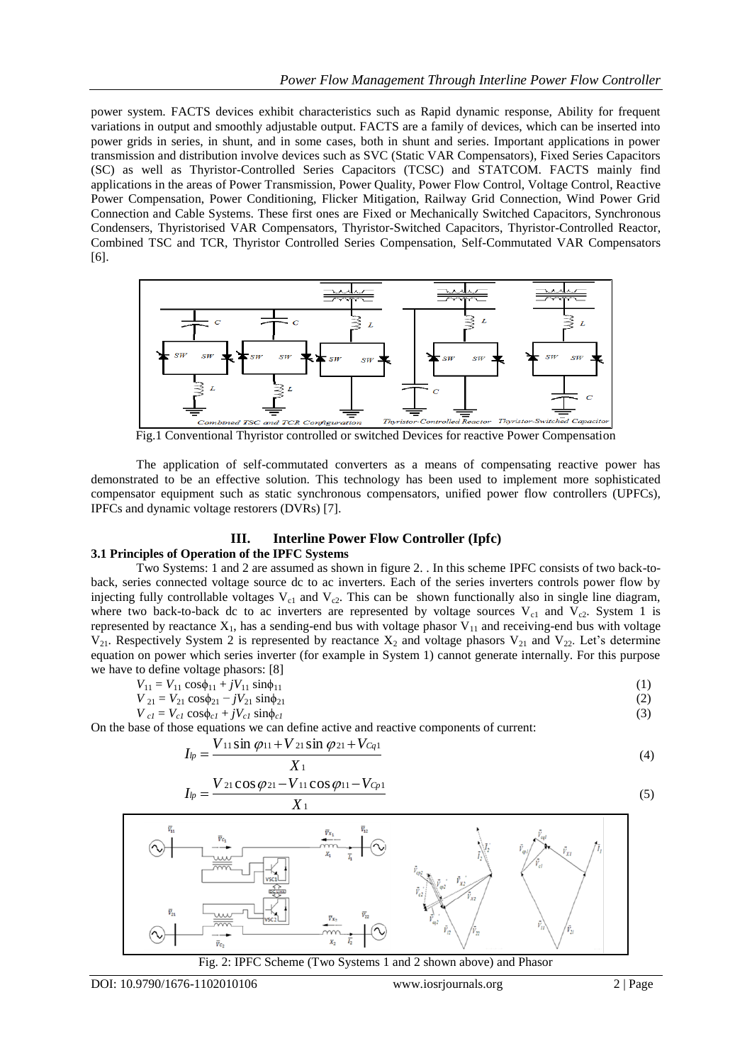power system. FACTS devices exhibit characteristics such as Rapid dynamic response, Ability for frequent variations in output and smoothly adjustable output. FACTS are a family of devices, which can be inserted into power grids in series, in shunt, and in some cases, both in shunt and series. Important applications in power transmission and distribution involve devices such as SVC (Static VAR Compensators), Fixed Series Capacitors (SC) as well as Thyristor-Controlled Series Capacitors (TCSC) and STATCOM. FACTS mainly find applications in the areas of Power Transmission, Power Quality, Power Flow Control, Voltage Control, Reactive Power Compensation, Power Conditioning, Flicker Mitigation, Railway Grid Connection, Wind Power Grid Connection and Cable Systems. These first ones are Fixed or Mechanically Switched Capacitors, Synchronous Condensers, Thyristorised VAR Compensators, Thyristor-Switched Capacitors, Thyristor-Controlled Reactor, Combined TSC and TCR, Thyristor Controlled Series Compensation, Self-Commutated VAR Compensators [6].



Fig.1 Conventional Thyristor controlled or switched Devices for reactive Power Compensation

The application of self-commutated converters as a means of compensating reactive power has demonstrated to be an effective solution. This technology has been used to implement more sophisticated compensator equipment such as static synchronous compensators, unified power flow controllers (UPFCs), IPFCs and dynamic voltage restorers (DVRs) [7]*.*

## **III. Interline Power Flow Controller (Ipfc)**

#### **3.1 Principles of Operation of the IPFC Systems**

Two Systems: 1 and 2 are assumed as shown in figure 2. . In this scheme IPFC consists of two back-toback, series connected voltage source dc to ac inverters. Each of the series inverters controls power flow by injecting fully controllable voltages  $V_{c1}$  and  $V_{c2}$ . This can be shown functionally also in single line diagram, where two back-to-back dc to ac inverters are represented by voltage sources  $V_{c1}$  and  $V_{c2}$ . System 1 is represented by reactance  $X_1$ , has a sending-end bus with voltage phasor  $V_{11}$  and receiving-end bus with voltage  $V_{21}$ . Respectively System 2 is represented by reactance  $X_2$  and voltage phasors  $V_{21}$  and  $V_{22}$ . Let's determine equation on power which series inverter (for example in System 1) cannot generate internally. For this purpose we have to define voltage phasors: [8]

$$
V_{11} = V_{11} \cos \phi_{11} + jV_{11} \sin \phi_{11} \tag{1}
$$

$$
V_{21} = V_{21} \cos\phi_{21} - jV_{21} \sin\phi_{21} \tag{2}
$$

$$
V_{cl} = V_{cl} \cos \phi_{cl} + jV_{cl} \sin \phi_{cl}
$$
 (3)

On the base of those equations we can define active and reactive components of current:

$$
I_{lp} = \frac{V_{11}\sin\varphi_{11} + V_{21}\sin\varphi_{21} + V_{Cq1}}{X_1}
$$
\n(4)

$$
I_{lp} = \frac{V_{21}\cos\varphi_{21} - V_{11}\cos\varphi_{11} - V_{Cp1}}{X_1}
$$
\n(5)





DOI: 10.9790/1676-1102010106 www.iosrjournals.org 2 | Page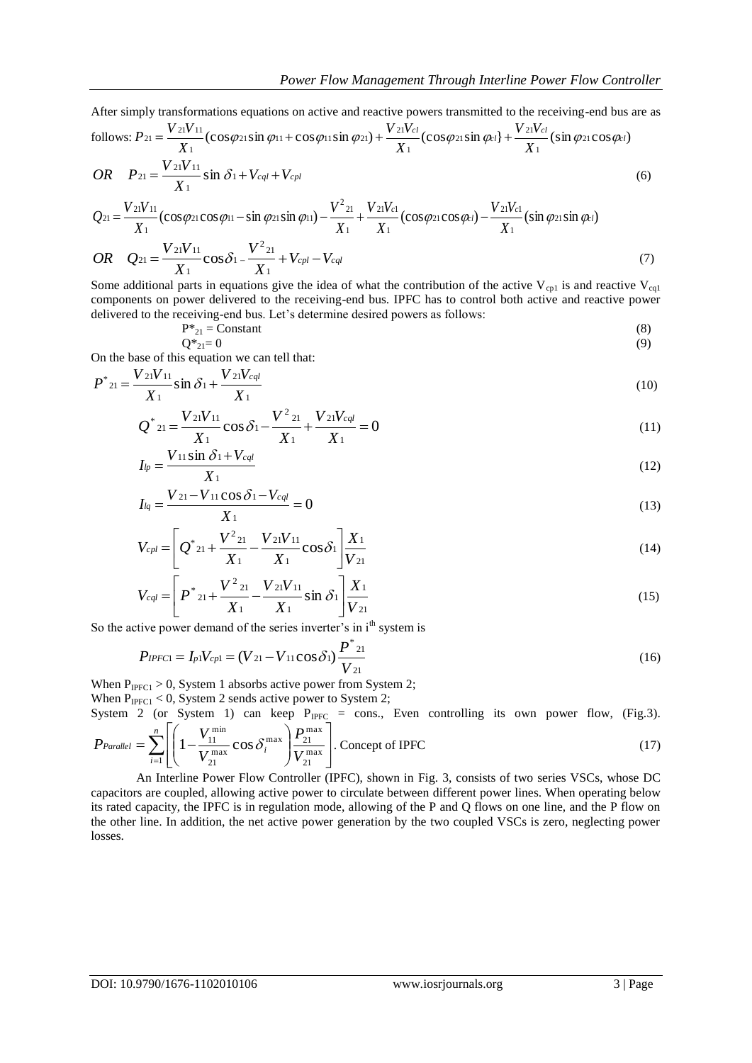After simply transformations equations on active and reactive powers transmitted to the receiving-end bus are as follows:  $P_{21} = \frac{V_{21}V_{11}}{X_1} (\cos \varphi_{21} \sin \varphi_{11} + \cos \varphi_{11} \sin \varphi_{21}) + \frac{V_{21}V_{11}}{X_1} (\cos \varphi_{21} \sin \varphi_{el}) + \frac{V_{21}V_{11}}{X_1} (\sin \varphi_{21} \cos \varphi_{el})$ 21 Sin  $\varphi_{cl}$  +  $\frac{V_{21}}{V_{22}}$ 1 21 Sin  $\varphi$ 11 + cos $\varphi$ 11 Sin  $\varphi$ 21) +  $\frac{V_{21}}{V_{22}}$ 1 21**V** 11 ly transformations equations on active and reactive powers transmitted to the receiving-end bus<br>  $z_1 = \frac{V_{21}V_{11}}{X_1}$  ( $\cos\varphi_{21}\sin\varphi_{11} + \cos\varphi_{11}\sin\varphi_{21} + \frac{V_{21}V_{cl}}{X_1}$  ( $\cos\varphi_{21}\sin\varphi_{cl} + \frac{V_{21}V_{cl}}{X_1}$  ( $\sin$ re<br><sup>*cl*</sup> *c l c l*  $V_{21}V$ *X*  $V_{21}V$ *X*  $P_{21} = \frac{V_{21}V_{11}}{V}$   $(\cos\varphi_{21}\sin\varphi_{11} + \cos\varphi_{11}\sin\varphi_{21}) + \frac{V_{21}V_{cl}}{V}$   $(\cos\varphi_{21}\sin\varphi_{cl}) + \frac{V_{21}V_{cl}}{V}$  $(\sin\varphi_{21}\cos\varphi_{21}\sin\varphi_{21})$ *Vcql Vcpl X*  $OR$   $P_{21} = \frac{V_{21}V_{11}}{V} \sin \delta_1 + V_{eql} +$ 1  $_{21} = \frac{V 21 V 11}{V} \sin \delta$ (6)

$$
X_1
$$
\n
$$
Q_{21} = \frac{V_{21}V_{11}}{X_1} \left(\cos\varphi_{21}\cos\varphi_{11} - \sin\varphi_{21}\sin\varphi_{11}\right) - \frac{V_{21}^2}{X_1} + \frac{V_{21}V_{c1}}{X_1} \left(\cos\varphi_{21}\cos\varphi_{t}\right) - \frac{V_{21}V_{c1}}{X_1} \left(\sin\varphi_{21}\sin\varphi_{t}\right)
$$
\n
$$
OR \quad Q_{21} = \frac{V_{21}V_{11}}{X_1} \cos\delta_1 - \frac{V_{21}^2}{X_1} + V_{cpl} - V_{cql} \tag{7}
$$

Some additional parts in equations give the idea of what the contribution of the active  $V_{\text{cpl}}$  is and reactive  $V_{\text{cql}}$ components on power delivered to the receiving-end bus. IPFC has to control both active and reactive power delivered to the receiving-end bus. Let's determine desired powers as follows:

$$
P^*_{21} = Constant
$$
\n
$$
Q^*_{21} = 0
$$
\n(8)

On the base of this equation we can tell that:

$$
P^*{}_{21} = \frac{V_{21}V_{11}}{X_1} \sin \delta_1 + \frac{V_{21}V_{cql}}{X_1} \tag{10}
$$

$$
Q^*{}_{21} = \frac{V_{21}V_{11}}{X_1} \cos \delta_1 - \frac{V^2{}_{21}}{X_1} + \frac{V_{21}V_{cdl}}{X_1} = 0 \tag{11}
$$

$$
I_{lp} = \frac{V_{11}\sin\delta_1 + V_{cql}}{X_1} \tag{12}
$$

$$
I_{lq} = \frac{V_{21} - V_{11}\cos\delta_1 - V_{cql}}{X_1} = 0
$$
\n(13)

$$
V_{cpl} = \left[ Q^*{}_{21} + \frac{V^2{}_{21}}{X_1} - \frac{V_{21}V_{11}}{X_1} \cos \delta_1 \right] \frac{X_1}{V_{21}} \tag{14}
$$

$$
V_{cql} = \left[ P^*{}_{21} + \frac{V^2{}_{21}}{X_1} - \frac{V_{21}V_{11}}{X_1} \sin \delta_1 \right] \frac{X_1}{V_{21}} \tag{15}
$$

So the active power demand of the series inverter's in i<sup>th</sup> system is

$$
P_{IPFC1} = I_{p1}V_{cp1} = (V_{21} - V_{11}\cos\delta_1)\frac{P^*_{21}}{V_{21}}
$$
\n(16)

When  $P_{IPFC1} > 0$ , System 1 absorbs active power from System 2;

When  $P_{IPFC1}$  < 0, System 2 sends active power to System 2;

System 2 (or System 1) can keep  $P_{IPFC} = \text{cons.}$ , Even controlling its own power flow, (Fig.3).  $\left| P_{21}^{\text{max}} \right|$  $\left| \begin{array}{cc} \frac{n}{n} \end{array} \right|$   $\left| \begin{array}{cc} \frac{n}{n} & V_{11} \end{array} \right|$ 

$$
P_{Parallel} = \sum_{i=1}^{n} \left[ \left( 1 - \frac{V_{11}}{V_{21}^{\max}} \cos \delta_i^{\max} \right) \frac{P_{21}}{V_{21}^{\max}} \right].
$$
 Concept of IPFC (17)

An Interline Power Flow Controller (IPFC), shown in Fig. 3, consists of two series VSCs, whose DC capacitors are coupled, allowing active power to circulate between different power lines. When operating below its rated capacity, the IPFC is in regulation mode, allowing of the P and Q flows on one line, and the P flow on the other line. In addition, the net active power generation by the two coupled VSCs is zero, neglecting power losses.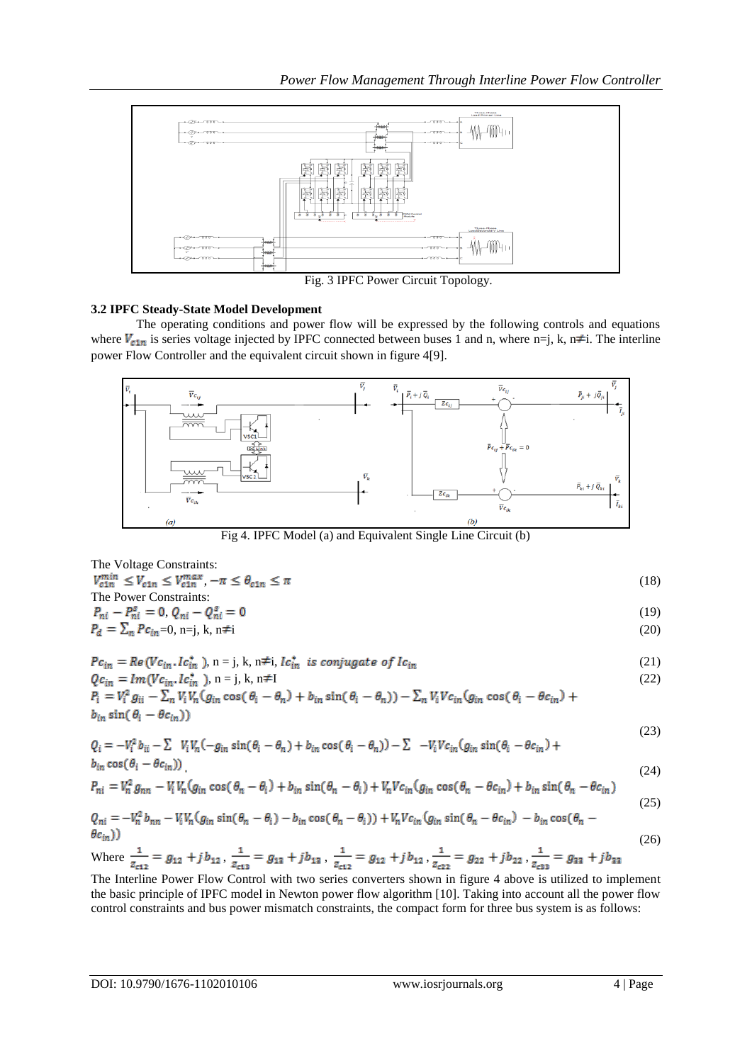

Fig. 3 IPFC Power Circuit Topology.

### **3.2 IPFC Steady-State Model Development**

The operating conditions and power flow will be expressed by the following controls and equations where  $V_{c1n}$  is series voltage injected by IPFC connected between buses 1 and n, where n=j, k, n $\neq$ i. The interline power Flow Controller and the equivalent circuit shown in figure 4[9].



Fig 4. IPFC Model (a) and Equivalent Single Line Circuit (b)

The Voltage Constraints:

$$
V_{c1n}^{min} \le V_{c1n} \le V_{c1n}^{max}, -\pi \le \theta_{c1n} \le \pi
$$
  
The Power Constraints: (18)

$$
P_{ni} - P_{ni}^s = 0, Q_{ni} - Q_{ni}^s = 0
$$
\n
$$
P_d = \sum_n P c_{in} = 0, n = j, k, n \neq i
$$
\n(19)

$$
\sum_{i=1}^{n} \frac{1}{i} \sum_{j=1}^{n} \frac{1}{j} \sum_{j=1}^{n} \frac{1}{j} \sum_{j=1}^{n} \frac{1}{j} \sum_{j=1}^{n} \frac{1}{j} \sum_{j=1}^{n} \frac{1}{j} \sum_{j=1}^{n} \frac{1}{j} \sum_{j=1}^{n} \frac{1}{j} \sum_{j=1}^{n} \frac{1}{j} \sum_{j=1}^{n} \frac{1}{j} \sum_{j=1}^{n} \frac{1}{j} \sum_{j=1}^{n} \frac{1}{j} \sum_{j=1}^{n} \frac{1}{j} \sum_{j=1}^{n} \frac{1}{j} \sum_{j=1}^{n} \frac{1}{j} \sum_{j=1}^{n} \frac{1}{j} \sum_{j=1}^{n} \frac{1}{j} \sum_{j=1}^{n} \frac{1}{j} \sum_{j=1}^{n} \frac{1}{j} \sum_{j=1}^{n} \frac{1}{j} \sum_{j=1}^{n} \frac{1}{j} \sum_{j=1}^{n} \frac{1}{j} \sum_{j=1}^{n} \frac{1}{j} \sum_{j=1}^{n} \frac{1}{j} \sum_{j=1}^{n} \frac{1}{j} \sum_{j=1}^{n} \frac{1}{j} \sum_{j=1}^{n} \frac{1}{j} \sum_{j=1}^{n} \frac{1}{j} \sum_{j=1}^{n} \frac{1}{j} \sum_{j=1}^{n} \frac{1}{j} \sum_{j=1}^{n} \frac{1}{j} \sum_{j=1}^{n} \frac{1}{j} \sum_{j=1}^{n} \frac{1}{j} \sum_{j=1}^{n} \frac{1}{j} \sum_{j=1}^{n} \frac{1}{j} \sum_{j=1}^{n} \frac{1}{j} \sum_{j=1}^{n} \frac{1}{j} \sum_{j=1}^{n} \frac{1}{j} \sum_{j=1}^{n} \frac{1}{j} \sum_{j=1}^{n} \frac{1}{j} \sum_{j=1}^{n} \frac{1}{j} \sum_{j=1}^{n} \frac{1}{j} \sum_{j=1}^{n} \frac{1}{j} \sum_{j=1}^{n} \frac{1}{j} \sum_{j=1}^{n} \frac
$$

$$
Pc_{in} = Re(Vc_{in}.Ic_{in}^{*}), n = j, k, n \neq i, Ic_{in}^{*} \text{ is conjugate of } Ic_{in}
$$
\n
$$
Qc_{in} = Im(Vc_{in}.Ic_{in}^{*}) \quad n = i, k, n \neq I
$$
\n
$$
(22)
$$

$$
Qc_{in} = Im(Vc_{in}.Ic_{in}^{*}), n = j, k, n \neq I
$$
  
\n
$$
P_i = V_i^2 g_{ii} - \sum_n V_i V_n (g_{in} \cos(\theta_i - \theta_n) + b_{in} \sin(\theta_i - \theta_n)) - \sum_n V_i V c_{in} (g_{in} \cos(\theta_i - \theta c_{in}) + b_{in} \sin(\theta_i - \theta c_{in}))
$$
\n(22)

$$
Q_i = -V_i^2 b_{ii} - \sum V_i V_n (-g_{in} \sin(\theta_i - \theta_n) + b_{in} \cos(\theta_i - \theta_n)) - \sum -V_i V c_{in} (g_{in} \sin(\theta_i - \theta c_{in}) + b_{in} \cos(\theta_i - \theta c_{in}))
$$
\n(23)

$$
P_{ni} = V_n^2 g_{nn} - V_i V_n (g_{in} \cos(\theta_n - \theta_i) + b_{in} \sin(\theta_n - \theta_i) + V_n V c_{in} (g_{in} \cos(\theta_n - \theta c_{in}) + b_{in} \sin(\theta_n - \theta c_{in})
$$
\n(25)

$$
Q_{ni} = -V_n^2 b_{nn} - V_i V_n (g_{in} \sin(\theta_n - \theta_i) - b_{in} \cos(\theta_n - \theta_i)) + V_n V c_{in} (g_{in} \sin(\theta_n - \theta c_{in}) - b_{in} \cos(\theta_n - \theta c_{in}))
$$
\n
$$
= \theta c_{in} (1 - \theta c_{in})
$$
\n
$$
(26)
$$

Where 
$$
\frac{1}{z_{c12}} = g_{12} + jb_{12}
$$
,  $\frac{1}{z_{c13}} = g_{13} + jb_{13}$ ,  $\frac{1}{z_{c12}} = g_{12} + jb_{12}$ ,  $\frac{1}{z_{c22}} = g_{22} + jb_{22}$ ,  $\frac{1}{z_{c33}} = g_{33} + jb_{33}$ 

The Interline Power Flow Control with two series converters shown in figure 4 above is utilized to implement the basic principle of IPFC model in Newton power flow algorithm [10]. Taking into account all the power flow control constraints and bus power mismatch constraints, the compact form for three bus system is as follows: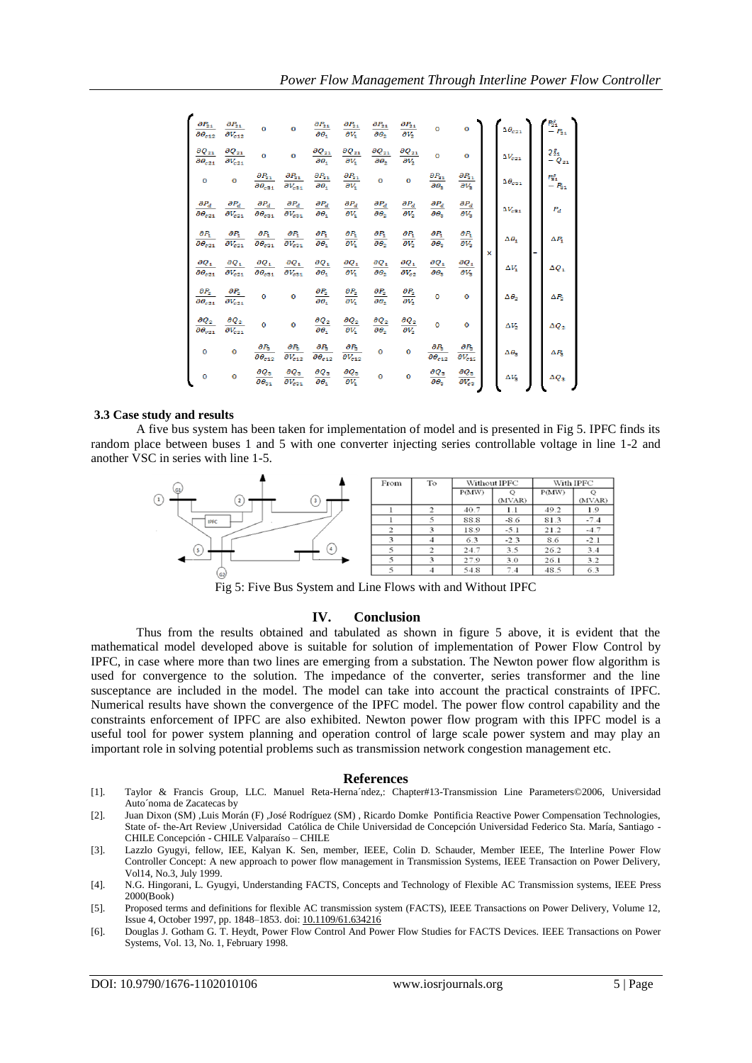| $\partial P_{21}$<br>$\overline{\partial \theta_{c12}}$ | $\partial P_{21}$<br>$\partial V_{c12}$ | $\Omega$                                                       | o                                       | $\partial P_{21}$<br>$\overline{\partial \theta_1}$ | $\frac{\partial P_{21}}{\partial V_1}$                | $\partial P_{21}$<br>$\overline{\partial \theta_2}$ | $\frac{\partial P_{21}}{\partial V_2}$    | $\Omega$                                              |                                             |   | $\Delta\theta_{c21}$ |  | $\begin{array}{l} P^s_{21} \\ -P_{21} \end{array}$ |
|---------------------------------------------------------|-----------------------------------------|----------------------------------------------------------------|-----------------------------------------|-----------------------------------------------------|-------------------------------------------------------|-----------------------------------------------------|-------------------------------------------|-------------------------------------------------------|---------------------------------------------|---|----------------------|--|----------------------------------------------------|
| $\partial Q_{21}$<br>$\overline{\partial \theta_{c21}}$ | $\partial Q_{21}$<br>$\partial V_{c21}$ | $\mathbf{o}$                                                   | $\mathbf{o}$                            | $\partial Q_{21}$<br>$\partial \theta$              | $\partial Q_{21}$<br>$\partial V_1$                   | $\partial Q_{21}$<br>$\partial \theta$              | $\partial Q_{21}$<br>$\partial V_2$       | o                                                     | $\circ$                                     | × | $\Delta V_{c21}$     |  | $\frac{2_{21}^s}{Q_{21}}$                          |
| $\mathbf{O}$                                            | $\mathbf 0$                             | $\partial P_{3\perp}$<br>$\overline{\partial \theta_{c}}_{31}$ | $\partial P_{31}$<br>$\partial V_{c31}$ | $\partial P_{31}$<br>$\overline{\partial\theta_1}$  | $\partial P_{31}$<br>$\overline{\partial V_1}$        | $\bullet$                                           | $\mathbf 0$                               | $\partial P_{31}$<br>$\overline{\partial \theta_{2}}$ | $\frac{\partial P_{31}}{\partial V_3}$      |   | $\Delta\theta_{c31}$ |  | $\frac{P_{31}^s}{-P_{31}}$                         |
| $\partial P_d$<br>$\overline{\partial}\theta_{c21}$     | $\partial P_d$<br>$\partial V_{c21}$    | $\partial P_d$<br>$\overline{\partial \theta_{c\bar{a}1}}$     | $\partial P_d$<br>$\partial V_{c21}$    | $\partial P_d$<br>$\partial \theta_1$               | $\partial P_d$<br>$\overline{\partial V_1}$           | $\partial P_d$<br>$\partial \theta_2$               | $\partial P_d$<br>$\partial V_2$          | $\partial P_d$<br>$\partial \theta_{2}$               | $\partial P_d$<br>$\overline{\partial V_2}$ |   | $\Delta V_{c31}$     |  | $P_d$                                              |
| $\partial P_1$<br>$\overline{\partial} \theta_{c21}$    | $\partial P_1$<br>$\partial V_{c21}$    | $\partial P_1$<br>$\overline{\partial \theta_{c31}}$           | $\partial P_1$<br>$\partial V_{c31}$    | $\partial P_1$<br>$\partial \theta_1$               | $\partial P_1$<br>$\overline{\partial V_1}$           | $\partial P_1$<br>$\partial \theta_2$               | $\partial P_1$<br>$\overline{\partial V}$ | $\partial P_1$<br>$\overline{\partial \theta_{2}}$    | $\frac{\partial P_1}{\partial V_2}$         |   | $\Delta\theta_1$     |  | $\Delta P_1$                                       |
| $\partial Q_1$                                          | $\partial Q_{1}$                        | $\partial Q_1$                                                 | $\partial Q_1$                          | $\partial Q_1$<br>$\partial \theta_1$               | $\partial Q_1$<br>$\overline{\partial V_1}$           | $\partial Q_1$<br>$\partial \theta_2$               | $\partial Q_1$<br>$\partial V_{c2}$       | $\partial Q_1$<br>$\partial \theta_{2}$               | $rac{\partial Q_1}{\partial V_2}$           |   | ΔV.                  |  | $\Delta Q_1$                                       |
| $\overline{\partial \theta_{c21}}$<br>$\partial P_2$    | $\partial V_{c21}$<br>$\partial P_2$    | $\overline{\partial \theta_{c31}}$<br>$\bullet$                | $\partial V_{c21}$<br>$\bullet$         | $\frac{\partial P_2}{\partial \theta_1}$            | $\frac{\partial P_2}{\partial V_1}$                   | $\frac{\partial P_2}{\partial \theta_2}$            | $\frac{\partial P_2}{\partial V_2}$       | o                                                     | $\circ$                                     |   | Δθ.,                 |  | ΔP,                                                |
| $\partial \theta_{c21}$<br>$\partial Q_2$               | $\partial V_{c21}$<br>$\partial Q_2$    | $\mathbf 0$                                                    | $\mathbf{o}$                            | $\partial Q_2$                                      |                                                       | $\partial Q_2$                                      | дQ <sub>2</sub>                           | o                                                     | $\circ$                                     |   |                      |  |                                                    |
| $\partial \theta_{v21}$<br>$\mathbf{O}$                 | $\partial V_{c21}$                      | $\partial P_3$                                                 | $\partial P_z$                          | $\partial \theta_i$<br>$\partial P_3$               | $\frac{\partial Q_2}{\partial V_1}$<br>$\partial P_2$ | $\partial \theta_2$<br>$\mathbf{o}$                 | дV,                                       | $\partial P_2$                                        | $\partial P_3$                              |   | ΔV,                  |  | $\Delta Q_2$                                       |
| $\mathbf{o}$                                            | $\mathbf o$<br>o                        | $\partial \theta_{c12}$<br>дQ <sub>з</sub>                     | $\partial V_{c12}$<br>$\partial Q_3$    | $\partial \theta_{c12}$<br>дQ <sub>з</sub>          | $\partial V_{c12}$<br>дQ <sub>з</sub>                 | $\mathbf o$                                         | $\mathbf 0$<br>$\Omega$                   | $\overline{\partial \theta_{c12}}$<br>$\partial Q_3$  | $\partial V_{c12}$<br>$\partial Q_3$        |   | Δθ,                  |  | ΔP,                                                |
|                                                         |                                         | $\partial \theta_{31}$                                         | $\partial V_{c31}$                      | $\partial \theta_1$                                 | $\partial V_1$                                        |                                                     |                                           | $\partial \theta_2$                                   | $\partial V_{c2}$                           |   | ΔV,                  |  | $\Delta Q_3$                                       |

#### **3.3 Case study and results**

A five bus system has been taken for implementation of model and is presented in Fig 5. IPFC finds its random place between buses 1 and 5 with one converter injecting series controllable voltage in line 1-2 and another VSC in series with line 1-5.



Fig 5: Five Bus System and Line Flows with and Without IPFC

#### **IV. Conclusion**

Thus from the results obtained and tabulated as shown in figure 5 above, it is evident that the mathematical model developed above is suitable for solution of implementation of Power Flow Control by IPFC, in case where more than two lines are emerging from a substation. The Newton power flow algorithm is used for convergence to the solution. The impedance of the converter, series transformer and the line susceptance are included in the model. The model can take into account the practical constraints of IPFC. Numerical results have shown the convergence of the IPFC model. The power flow control capability and the constraints enforcement of IPFC are also exhibited. Newton power flow program with this IPFC model is a useful tool for power system planning and operation control of large scale power system and may play an important role in solving potential problems such as transmission network congestion management etc.

#### **References**

- [1]. Taylor & Francis Group, LLC. Manuel Reta-Herna´ndez,: Chapter#13-Transmission Line Parameters©2006, Universidad Auto´noma de Zacatecas by
- [2]. Juan Dixon (SM) ,Luis Morán (F) ,José Rodríguez (SM) , Ricardo Domke Pontificia Reactive Power Compensation Technologies, State of- the-Art Review ,Universidad Católica de Chile Universidad de Concepción Universidad Federico Sta. María, Santiago - CHILE Concepción - CHILE Valparaíso – CHILE
- [3]. Lazzlo Gyugyi, fellow, IEE, Kalyan K. Sen, member, IEEE, Colin D. Schauder, Member IEEE, The Interline Power Flow Controller Concept: A new approach to power flow management in Transmission Systems, IEEE Transaction on Power Delivery, Vol14, No.3, July 1999.
- [4]. N.G. Hingorani, L. Gyugyi, Understanding FACTS, Concepts and Technology of Flexible AC Transmission systems, IEEE Press 2000(Book)
- [5]. Proposed terms and definitions for flexible AC transmission system (FACTS), IEEE Transactions on Power Delivery, Volume 12, Issue 4, October 1997, pp. 1848–1853. doi: [10.1109/61.634216](http://dx.doi.org/10.1109/61.634216)
- [6]. Douglas J. Gotham G. T. Heydt, Power Flow Control And Power Flow Studies for FACTS Devices. IEEE Transactions on Power Systems, Vol. 13, No. 1, February 1998.